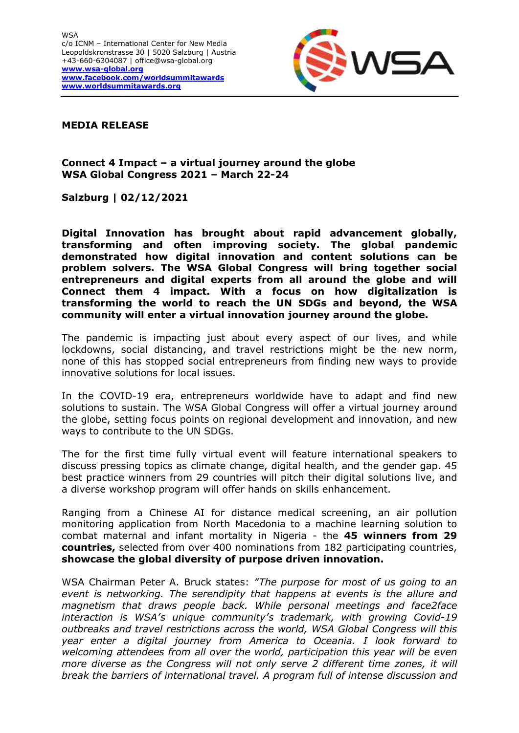

## **MEDIA RELEASE**

## **Connect 4 Impact – a virtual journey around the globe WSA Global Congress 2021 – March 22-24**

**Salzburg | 02/12/2021**

**Digital Innovation has brought about rapid advancement globally, transforming and often improving society. The global pandemic demonstrated how digital innovation and content solutions can be problem solvers. The WSA Global Congress will bring together social entrepreneurs and digital experts from all around the globe and will Connect them 4 impact. With a focus on how digitalization is transforming the world to reach the UN SDGs and beyond, the WSA community will enter a virtual innovation journey around the globe.**

The pandemic is impacting just about every aspect of our lives, and while lockdowns, social distancing, and travel restrictions might be the new norm, none of this has stopped social entrepreneurs from finding new ways to provide innovative solutions for local issues.

In the COVID-19 era, entrepreneurs worldwide have to adapt and find new solutions to sustain. The WSA Global Congress will offer a virtual journey around the globe, setting focus points on regional development and innovation, and new ways to contribute to the UN SDGs.

The for the first time fully virtual event will feature international speakers to discuss pressing topics as climate change, digital health, and the gender gap. 45 best practice winners from 29 countries will pitch their digital solutions live, and a diverse workshop program will offer hands on skills enhancement.

Ranging from a Chinese AI for distance medical screening, an air pollution monitoring application from North Macedonia to a machine learning solution to combat maternal and infant mortality in Nigeria - the **45 winners from 29 countries,** selected from over 400 nominations from 182 participating countries, **showcase the global diversity of purpose driven innovation.**

WSA Chairman Peter A. Bruck states: *"The purpose for most of us going to an event is networking. The serendipity that happens at events is the allure and magnetism that draws people back. While personal meetings and face2face interaction is WSA's unique community's trademark, with growing Covid-19 outbreaks and travel restrictions across the world, WSA Global Congress will this year enter a digital journey from America to Oceania. I look forward to welcoming attendees from all over the world, participation this year will be even more diverse as the Congress will not only serve 2 different time zones, it will break the barriers of international travel. A program full of intense discussion and*